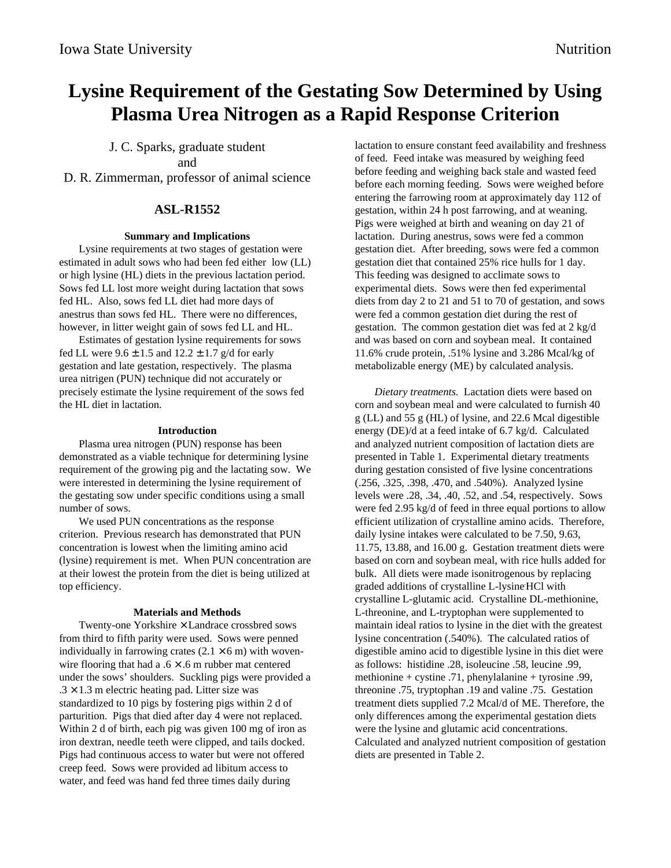# **Lysine Requirement of the Gestating Sow Determined by Using Plasma Urea Nitrogen as a Rapid Response Criterion**

# J. C. Sparks, graduate student

and

D. R. Zimmerman, professor of animal science

# **ASL-R1552**

## **Summary and Implications**

Lysine requirements at two stages of gestation were estimated in adult sows who had been fed either low (LL) or high lysine (HL) diets in the previous lactation period. Sows fed LL lost more weight during lactation that sows fed HL. Also, sows fed LL diet had more days of anestrus than sows fed HL. There were no differences, however, in litter weight gain of sows fed LL and HL.

Estimates of gestation lysine requirements for sows fed LL were  $9.6 \pm 1.5$  and  $12.2 \pm 1.7$  g/d for early gestation and late gestation, respectively. The plasma urea nitrigen (PUN) technique did not accurately or precisely estimate the lysine requirement of the sows fed the HL diet in lactation.

#### **Introduction**

Plasma urea nitrogen (PUN) response has been demonstrated as a viable technique for determining lysine requirement of the growing pig and the lactating sow. We were interested in determining the lysine requirement of the gestating sow under specific conditions using a small number of sows.

We used PUN concentrations as the response criterion. Previous research has demonstrated that PUN concentration is lowest when the limiting amino acid (lysine) requirement is met. When PUN concentration are at their lowest the protein from the diet is being utilized at top efficiency.

## **Materials and Methods**

Twenty-one Yorkshire × Landrace crossbred sows from third to fifth parity were used. Sows were penned individually in farrowing crates  $(2.1 \times 6 \text{ m})$  with wovenwire flooring that had a  $.6 \times .6$  m rubber mat centered under the sows' shoulders. Suckling pigs were provided a  $.3 \times 1.3$  m electric heating pad. Litter size was standardized to 10 pigs by fostering pigs within 2 d of parturition. Pigs that died after day 4 were not replaced. Within 2 d of birth, each pig was given 100 mg of iron as iron dextran, needle teeth were clipped, and tails docked. Pigs had continuous access to water but were not offered creep feed. Sows were provided ad libitum access to water, and feed was hand fed three times daily during

lactation to ensure constant feed availability and freshness of feed. Feed intake was measured by weighing feed before feeding and weighing back stale and wasted feed before each morning feeding. Sows were weighed before entering the farrowing room at approximately day 112 of gestation, within 24 h post farrowing, and at weaning. Pigs were weighed at birth and weaning on day 21 of lactation. During anestrus, sows were fed a common gestation diet. After breeding, sows were fed a common gestation diet that contained 25% rice hulls for 1 day. This feeding was designed to acclimate sows to experimental diets. Sows were then fed experimental diets from day 2 to 21 and 51 to 70 of gestation, and sows were fed a common gestation diet during the rest of gestation. The common gestation diet was fed at 2 kg/d and was based on corn and soybean meal. It contained 11.6% crude protein, .51% lysine and 3.286 Mcal/kg of metabolizable energy (ME) by calculated analysis.

*Dietary treatments.* Lactation diets were based on corn and soybean meal and were calculated to furnish 40 g (LL) and 55 g (HL) of lysine, and 22.6 Mcal digestible energy (DE)/d at a feed intake of 6.7 kg/d. Calculated and analyzed nutrient composition of lactation diets are presented in Table 1. Experimental dietary treatments during gestation consisted of five lysine concentrations (.256, .325, .398, .470, and .540%). Analyzed lysine levels were .28, .34, .40, .52, and .54, respectively. Sows were fed 2.95 kg/d of feed in three equal portions to allow efficient utilization of crystalline amino acids. Therefore, daily lysine intakes were calculated to be 7.50, 9.63, 11.75, 13.88, and 16.00 g. Gestation treatment diets were based on corn and soybean meal, with rice hulls added for bulk. All diets were made isonitrogenous by replacing graded additions of crystalline L-lysine HCl with crystalline L-glutamic acid. Crystalline DL-methionine, L-threonine, and L-tryptophan were supplemented to maintain ideal ratios to lysine in the diet with the greatest lysine concentration (.540%). The calculated ratios of digestible amino acid to digestible lysine in this diet were as follows: histidine .28, isoleucine .58, leucine .99, methionine + cystine  $.71$ , phenylalanine + tyrosine  $.99$ , threonine .75, tryptophan .19 and valine .75. Gestation treatment diets supplied 7.2 Mcal/d of ME. Therefore, the only differences among the experimental gestation diets were the lysine and glutamic acid concentrations. Calculated and analyzed nutrient composition of gestation diets are presented in Table 2.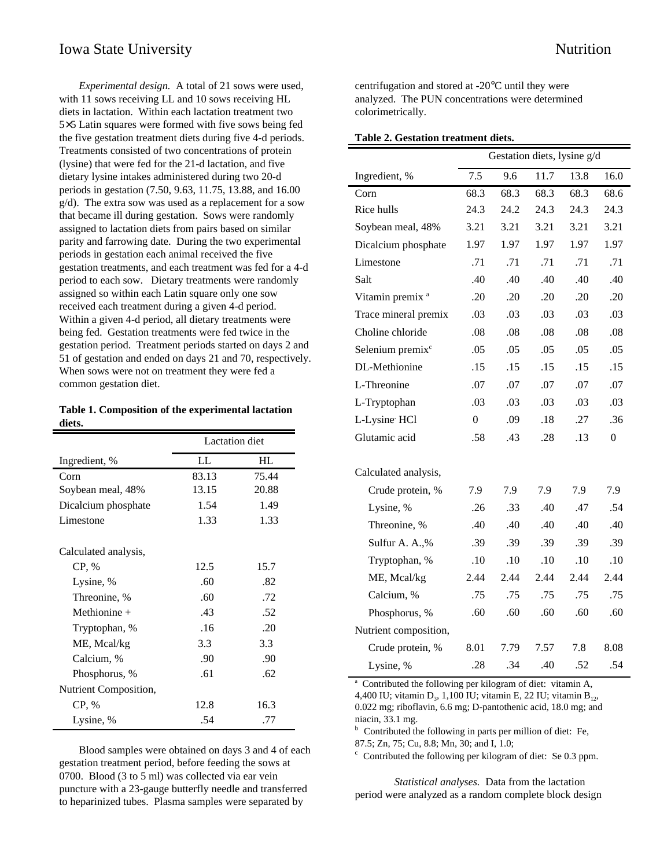*Experimental design.* A total of 21 sows were used, with 11 sows receiving LL and 10 sows receiving HL diets in lactation. Within each lactation treatment two 5×5 Latin squares were formed with five sows being fed the five gestation treatment diets during five 4-d periods. Treatments consisted of two concentrations of protein (lysine) that were fed for the 21-d lactation, and five dietary lysine intakes administered during two 20-d periods in gestation (7.50, 9.63, 11.75, 13.88, and 16.00 g/d). The extra sow was used as a replacement for a sow that became ill during gestation. Sows were randomly assigned to lactation diets from pairs based on similar parity and farrowing date. During the two experimental periods in gestation each animal received the five gestation treatments, and each treatment was fed for a 4-d period to each sow. Dietary treatments were randomly assigned so within each Latin square only one sow received each treatment during a given 4-d period. Within a given 4-d period, all dietary treatments were being fed. Gestation treatments were fed twice in the gestation period. Treatment periods started on days 2 and 51 of gestation and ended on days 21 and 70, respectively. When sows were not on treatment they were fed a common gestation diet.

| Table 1. Composition of the experimental lactation |  |  |
|----------------------------------------------------|--|--|
| diets.                                             |  |  |

|                       | <b>Lactation</b> diet |       |  |
|-----------------------|-----------------------|-------|--|
| Ingredient, %         | LL                    | HL    |  |
| Corn                  | 83.13                 | 75.44 |  |
| Soybean meal, 48%     | 13.15                 | 20.88 |  |
| Dicalcium phosphate   | 1.54                  | 1.49  |  |
| Limestone             | 1.33                  | 1.33  |  |
| Calculated analysis,  |                       |       |  |
| CP, %                 | 12.5                  | 15.7  |  |
| Lysine, %             | .60                   | .82   |  |
| Threonine, %          | .60                   | .72   |  |
| Methionine $+$        | .43                   | .52   |  |
| Tryptophan, %         | .16                   | .20   |  |
| ME, Mcal/kg           | 3.3                   | 3.3   |  |
| Calcium, %            | .90                   | .90   |  |
| Phosphorus, %         | .61                   | .62   |  |
| Nutrient Composition, |                       |       |  |
| CP, %                 | 12.8                  | 16.3  |  |
| Lysine, %             | .54                   | .77   |  |

Blood samples were obtained on days 3 and 4 of each gestation treatment period, before feeding the sows at 0700. Blood (3 to 5 ml) was collected via ear vein puncture with a 23-gauge butterfly needle and transferred to heparinized tubes. Plasma samples were separated by

centrifugation and stored at -20°C until they were analyzed. The PUN concentrations were determined colorimetrically.

| Table 2. Gestation treatment diets. |  |
|-------------------------------------|--|
|-------------------------------------|--|

|                              | Gestation diets, lysine g/d |      |      |      |                  |
|------------------------------|-----------------------------|------|------|------|------------------|
| Ingredient, %                | 7.5                         | 9.6  | 11.7 | 13.8 | 16.0             |
| Corn                         | 68.3                        | 68.3 | 68.3 | 68.3 | 68.6             |
| Rice hulls                   | 24.3                        | 24.2 | 24.3 | 24.3 | 24.3             |
| Soybean meal, 48%            | 3.21                        | 3.21 | 3.21 | 3.21 | 3.21             |
| Dicalcium phosphate          | 1.97                        | 1.97 | 1.97 | 1.97 | 1.97             |
| Limestone                    | .71                         | .71  | .71  | .71  | .71              |
| Salt                         | .40                         | .40  | .40  | .40  | .40              |
| Vitamin premix <sup>a</sup>  | .20                         | .20  | .20  | .20  | .20              |
| Trace mineral premix         | .03                         | .03  | .03  | .03  | .03              |
| Choline chloride             | .08                         | .08  | .08  | .08  | .08              |
| Selenium premix <sup>c</sup> | .05                         | .05  | .05  | .05  | .05              |
| DL-Methionine                | .15                         | .15  | .15  | .15  | .15              |
| L-Threonine                  | .07                         | .07  | .07  | .07  | .07              |
| L-Tryptophan                 | .03                         | .03  | .03  | .03  | .03              |
| L-Lysine HCl                 | $\theta$                    | .09  | .18  | .27  | .36              |
| Glutamic acid                | .58                         | .43  | .28  | .13  | $\boldsymbol{0}$ |
| Calculated analysis,         |                             |      |      |      |                  |
| Crude protein, %             | 7.9                         | 7.9  | 7.9  | 7.9  | 7.9              |
| Lysine, %                    | .26                         | .33  | .40  | .47  | .54              |
| Threonine, %                 | .40                         | .40  | .40  | .40  | .40              |
| Sulfur A. A.,%               | .39                         | .39  | .39  | .39  | .39              |
| Tryptophan, %                | .10                         | .10  | .10  | .10  | .10              |
| ME, Mcal/kg                  | 2.44                        | 2.44 | 2.44 | 2.44 | 2.44             |
| Calcium, %                   | .75                         | .75  | .75  | .75  | .75              |
| Phosphorus, %                | .60                         | .60  | .60  | .60  | .60              |
| Nutrient composition,        |                             |      |      |      |                  |
| Crude protein, %             | 8.01                        | 7.79 | 7.57 | 7.8  | 8.08             |
| Lysine, %                    | .28                         | .34  | .40  | .52  | .54              |

<sup>a</sup> Contributed the following per kilogram of diet: vitamin A,

4,400 IU; vitamin D<sub>3</sub>, 1,100 IU; vitamin E, 22 IU; vitamin B<sub>12</sub>, 0.022 mg; riboflavin, 6.6 mg; D-pantothenic acid, 18.0 mg; and niacin, 33.1 mg.

<sup>b</sup> Contributed the following in parts per million of diet: Fe, 87.5; Zn, 75; Cu, 8.8; Mn, 30; and I, 1.0;

<sup>c</sup> Contributed the following per kilogram of diet: Se 0.3 ppm.

*Statistical analyses.* Data from the lactation period were analyzed as a random complete block design